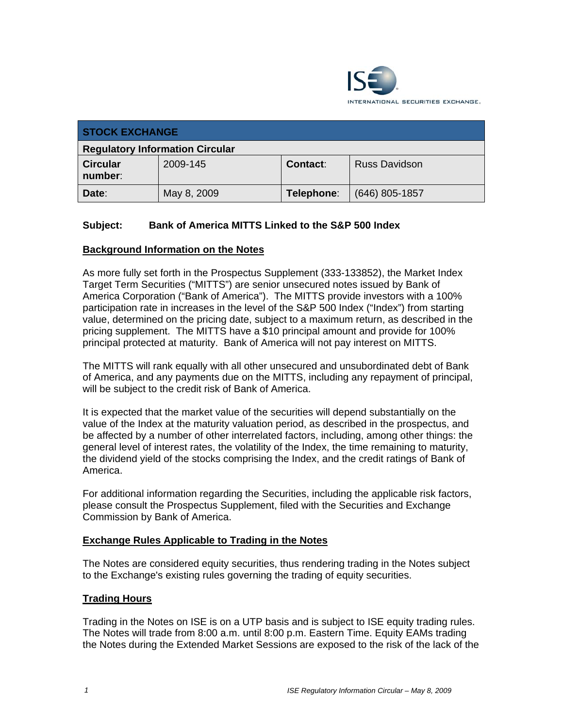

| <b>STOCK EXCHANGE</b>                  |             |                 |                      |
|----------------------------------------|-------------|-----------------|----------------------|
| <b>Regulatory Information Circular</b> |             |                 |                      |
| <b>Circular</b><br>number:             | 2009-145    | <b>Contact:</b> | <b>Russ Davidson</b> |
| Date:                                  | May 8, 2009 | Telephone:      | $(646)$ 805-1857     |

## **Subject: Bank of America MITTS Linked to the S&P 500 Index**

## **Background Information on the Notes**

As more fully set forth in the Prospectus Supplement (333-133852), the Market Index Target Term Securities ("MITTS") are senior unsecured notes issued by Bank of America Corporation ("Bank of America"). The MITTS provide investors with a 100% participation rate in increases in the level of the S&P 500 Index ("Index") from starting value, determined on the pricing date, subject to a maximum return, as described in the pricing supplement. The MITTS have a \$10 principal amount and provide for 100% principal protected at maturity. Bank of America will not pay interest on MITTS.

The MITTS will rank equally with all other unsecured and unsubordinated debt of Bank of America, and any payments due on the MITTS, including any repayment of principal, will be subject to the credit risk of Bank of America.

It is expected that the market value of the securities will depend substantially on the value of the Index at the maturity valuation period, as described in the prospectus, and be affected by a number of other interrelated factors, including, among other things: the general level of interest rates, the volatility of the Index, the time remaining to maturity, the dividend yield of the stocks comprising the Index, and the credit ratings of Bank of America.

For additional information regarding the Securities, including the applicable risk factors, please consult the Prospectus Supplement, filed with the Securities and Exchange Commission by Bank of America.

#### **Exchange Rules Applicable to Trading in the Notes**

The Notes are considered equity securities, thus rendering trading in the Notes subject to the Exchange's existing rules governing the trading of equity securities.

#### **Trading Hours**

Trading in the Notes on ISE is on a UTP basis and is subject to ISE equity trading rules. The Notes will trade from 8:00 a.m. until 8:00 p.m. Eastern Time. Equity EAMs trading the Notes during the Extended Market Sessions are exposed to the risk of the lack of the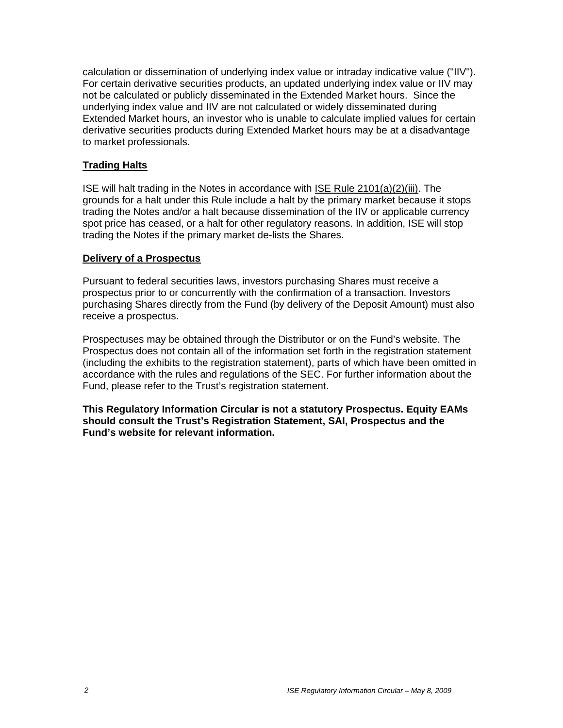calculation or dissemination of underlying index value or intraday indicative value ("IIV"). For certain derivative securities products, an updated underlying index value or IIV may not be calculated or publicly disseminated in the Extended Market hours. Since the underlying index value and IIV are not calculated or widely disseminated during Extended Market hours, an investor who is unable to calculate implied values for certain derivative securities products during Extended Market hours may be at a disadvantage to market professionals.

## **Trading Halts**

ISE will halt trading in the Notes in accordance with ISE Rule 2101(a)(2)(iii). The grounds for a halt under this Rule include a halt by the primary market because it stops trading the Notes and/or a halt because dissemination of the IIV or applicable currency spot price has ceased, or a halt for other regulatory reasons. In addition, ISE will stop trading the Notes if the primary market de-lists the Shares.

## **Delivery of a Prospectus**

Pursuant to federal securities laws, investors purchasing Shares must receive a prospectus prior to or concurrently with the confirmation of a transaction. Investors purchasing Shares directly from the Fund (by delivery of the Deposit Amount) must also receive a prospectus.

Prospectuses may be obtained through the Distributor or on the Fund's website. The Prospectus does not contain all of the information set forth in the registration statement (including the exhibits to the registration statement), parts of which have been omitted in accordance with the rules and regulations of the SEC. For further information about the Fund, please refer to the Trust's registration statement.

**This Regulatory Information Circular is not a statutory Prospectus. Equity EAMs should consult the Trust's Registration Statement, SAI, Prospectus and the Fund's website for relevant information.**